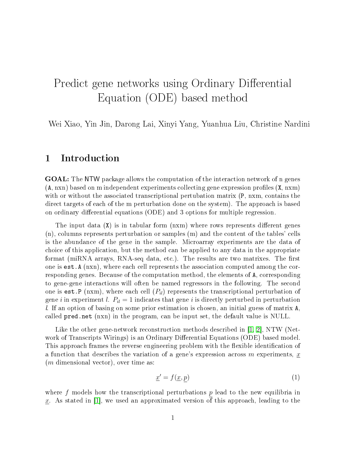# Predict gene networks using Ordinary Differential Equation (ODE) based method

Wei Xiao, Yin Jin, Darong Lai, Xinyi Yang, Yuanhua Liu, Christine Nardini

#### 1 Introduction

GOAL: The NTW package allows the computation of the interaction network of n genes  $(A, nxn)$  based on m independent experiments collecting gene expression profiles  $(X, nxm)$ with or without the associated transcriptional pertubation matrix (P, nxm, contains the direct targets of each of the m perturbation done on the system). The approach is based on ordinary differential equations (ODE) and 3 options for multiple regression.

The input data  $(X)$  is in tabular form  $(nx)$  where rows represents different genes (n), columns represents perturbation or samples (m) and the content of the tables' cells is the abundance of the gene in the sample. Microarray experiments are the data of choice of this application, but the method can be applied to any data in the appropriate format (miRNA arrays, RNA-seq data, etc.). The results are two matrixes. The first one is est.A (nxn), where each cell represents the association computed among the corresponding genes. Because of the computation method, the elements of A, corresponding to gene-gene interactions will often be named regressors in the following. The second one is est.P (nxm), where each cell  $(P_{il})$  represents the transcriptional perturbation of gene i in experiment l.  $P_{il} = 1$  indicates that gene i is directly perturbed in perturbation l. If an option of basing on some prior estimation is chosen, an initial guess of matrix A, called pred.net (nxn) in the program, can be input set, the default value is NULL.

Like the other gene-network reconstruction methods described in [\[1,](#page-8-0) [2\]](#page-8-1), NTW (Network of Transcripts Wirings) is an Ordinary Differential Equations (ODE) based model. This approach frames the reverse engineering problem with the flexible identification of a function that describes the variation of a gene's expression across m experiments,  $\underline{x}$  $(m \text{ dimensional vector})$ , over time as:

$$
\underline{x}' = f(\underline{x}, p) \tag{1}
$$

where f models how the transcriptional perturbations  $p$  lead to the new equilibria in x. As stated in  $[1]$ , we used an approximated version of this approach, leading to the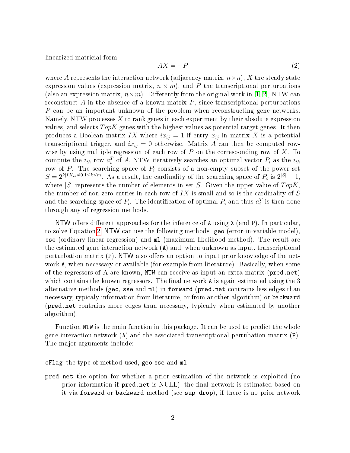linearized matricial form,

<span id="page-1-0"></span>
$$
AX = -P \tag{2}
$$

where A represents the interaction network (adjacency matrix,  $n \times n$ ), X the steady state expression values (expression matrix,  $n \times m$ ), and P the transcriptional perturbations (also an expression matrix,  $n \times m$ ). Differently from the original work in [\[1,](#page-8-0) [2\]](#page-8-1), NTW can reconstruct A in the absence of a known matrix  $P$ , since transcriptional perturbations P can be an important unknown of the problem when reconstructing gene networks. Namely, NTW processes X to rank genes in each experiment by their absolute expression values, and selects  $TopK$  genes with the highest values as potential target genes. It then produces a Boolean matrix IX where  $ix_{ij} = 1$  if entry  $x_{ij}$  in matrix X is a potential transcriptional trigger, and  $ix_{ij} = 0$  otherwise. Matrix A can then be computed rowwise by using multiple regression of each row of  $P$  on the corresponding row of  $X$ . To compute the  $i_{th}$  row  $a_i^T$  of A, NTW iteratively searches an optimal vector  $P_i$  as the  $i_{th}$ row of P. The searching space of  $P_i$  consists of a non-empty subset of the power set  $S = 2^{k|IX_{ik} \neq 0,1 \leq k \leq m}$ . As a result, the cardinality of the searching space of  $P_i$  is  $2^{|S|} - 1$ , where  $|S|$  represents the number of elements in set S. Given the upper value of  $TopK$ , the number of non-zero entries in each row of  $IX$  is small and so is the cardinality of  $S$ and the searching space of  $P_i$ . The identification of optimal  $P_i$  and thus  $a_i^T$  is then done through any of regression methods.

NTW offers different approaches for the inference of  $A$  using  $X$  (and  $P$ ). In particular, to solve Equation [2,](#page-1-0) NTW can use the following methods: geo (error-in-variable model), sse (ordinary linear regression) and ml (maximum likelihood method). The result are the estimated gene interaction network (A) and, when unknown as input, transcriptional perturbation matrix (P). NTW also offers an option to input prior knowledge of the network A, when necessary or available (for example from literature). Basically, when some of the regressors of A are known, NTW can receive as input an extra matrix (pred.net) which contains the known regressors. The final network  $A$  is again estimated using the 3 alternative methods (geo, sse and ml) in forward (pred.net contrains less edges than necessary, typicaly information from literature, or from another algorithm) or backward (pred.net contrains more edges than necessary, typically when estimated by another algorithm).

Function NTW is the main function in this package. It can be used to predict the whole gene interaction network (A) and the associated transcriptional pertubation matrix (P). The major arguments include:

cFlag the type of method used, geo,sse and ml

pred.net the option for whether a prior estimation of the network is exploited (no prior information if pred.net is NULL), the final network is estimated based on it via forward or backward method (see sup.drop), if there is no prior network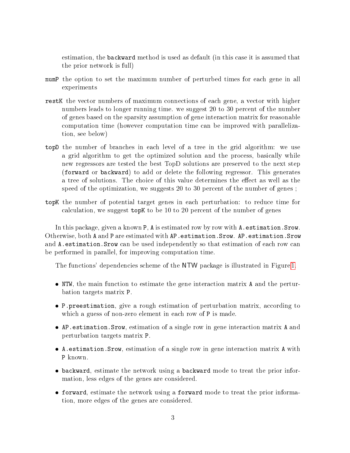estimation, the backward method is used as default (in this case it is assumed that the prior network is full)

- numP the option to set the maximum number of perturbed times for each gene in all experiments
- restK the vector numbers of maximum connections of each gene, a vector with higher numbers leads to longer running time. we suggest 20 to 30 percent of the number of genes based on the sparsity assumption of gene interaction matrix for reasonable computation time (however computation time can be improved with parallelization, see below)
- topD the number of branches in each level of a tree in the grid algorithm: we use a grid algorithm to get the optimized solution and the process, basically while new regressors are tested the best TopD solutions are preserved to the next step (forward or backward) to add or delete the following regressor. This generates a tree of solutions. The choice of this value determines the effect as well as the speed of the optimization, we suggests 20 to 30 percent of the number of genes ;
- topK the number of potential target genes in each perturbation: to reduce time for calculation, we suggest topK to be 10 to 20 percent of the number of genes

In this package, given a known P, A is estimated row by row with A. estimation. Srow. Otherwise, both A and P are estimated with AP.estimation.Srow. AP.estimation.Srow and A.estimation.Srow can be used independently so that estimation of each row can be performed in parallel, for improving computation time.

The functions' dependencies scheme of the NTW package is illustrated in Figure [1.](#page-3-0)

- NTW, the main function to estimate the gene interaction matrix A and the perturbation targets matrix P.
- P.preestimation, give a rough estimation of perturbation matrix, according to which a guess of non-zero element in each row of P is made.
- AP.estimation.Srow, estimation of a single row in gene interaction matrix A and perturbation targets matrix P.
- A.estimation.Srow, estimation of a single row in gene interaction matrix A with P known.
- backward, estimate the network using a backward mode to treat the prior information, less edges of the genes are considered.
- forward, estimate the network using a forward mode to treat the prior information, more edges of the genes are considered.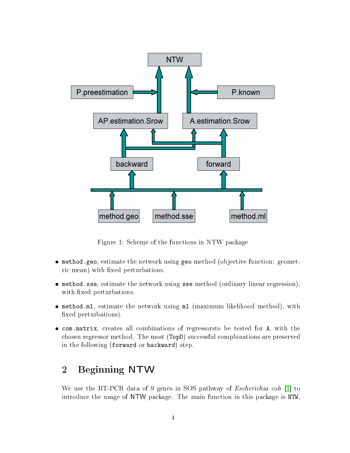

<span id="page-3-0"></span>Figure 1: Scheme of the functions in NTW package

- method.geo, estimate the network using geo method (objective function: geometric mean) with fixed perturbations.
- method.sse, estimate the network using sse method (ordinary linear regression), with fixed perturbations.
- method.ml, estimate the network using ml (maximum likelihood method), with fixed perturbations).
- com.matrix, creates all combinations of regressorsto be tested for A, with the chosen regressor method. The most (TopD) successful compbinations are preserved in the following (forward or backward) step.

## 2 Beginning NTW

We use the RT-PCR data of 9 genes in SOS pathway of Escherichia coli [\[1\]](#page-8-0) to introduce the usage of NTW package. The main function in this package is NTW,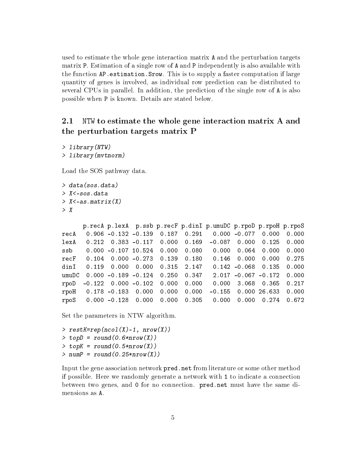used to estimate the whole gene interaction matrix A and the perturbation targets matrix P. Estimation of a single row of A and P independently is also available with the function AP.estimation.Srow. This is to supply a faster computation if large quantity of genes is involved, as individual row prediction can be distributed to several CPUs in parallel. In addition, the prediction of the single row of A is also possible when P is known. Details are stated below.

#### 2.1 NTW to estimate the whole gene interaction matrix A and the perturbation targets matrix P

```
> library(NTW)
> library(mvtnorm)
```
Load the SOS pathway data.

```
> data(sos.data)
> X<-sos.data
> X < -a.s.matrix(X)> X
```
p.recA p.lexA p.ssb p.recF p.dinI p.umuDC p.rpoD p.rpoH p.rpoS recA 0.906 -0.132 -0.139 0.187 0.291 0.000 -0.077 0.000 0.000 lexA 0.212 0.383 -0.117 0.000 0.169 -0.087 0.000 0.125 0.000 ssb 0.000 -0.107 10.524 0.000 0.080 0.000 0.064 0.000 0.000 recF 0.104 0.000 -0.273 0.139 0.180 0.146 0.000 0.000 0.275 dinI 0.119 0.000 0.000 0.315 2.147 0.142 -0.068 0.135 0.000 umuDC 0.000 -0.189 -0.124 0.250 0.347 2.017 -0.067 -0.172 0.000 rpoD -0.122 0.000 -0.102 0.000 0.000 0.000 3.068 0.365 0.217 rpoH 0.178 -0.183 0.000 0.000 0.000 -0.155 0.000 26.633 0.000 rpoS 0.000 -0.128 0.000 0.000 0.305 0.000 0.000 0.274 0.672

Set the parameters in NTW algorithm.

```
> restK=rep(ncol(X)-1, nrow(X))
> \text{top}D = \text{round}(0.6* \text{nrow}(X))> topK = round (0.5*nrow(X))
> numP = round(0.25*nrow(X))
```
Input the gene association network pred.net from literature or some other method if possible. Here we randomly generate a network with 1 to indicate a connection between two genes, and 0 for no connection. pred.net must have the same dimensions as A.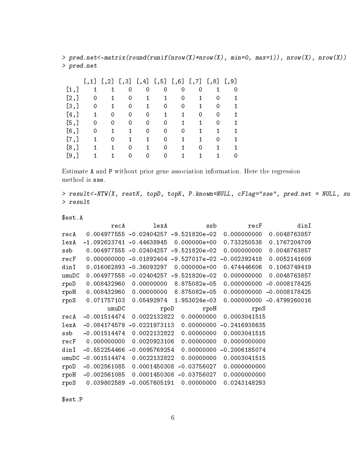> pred.net<-matrix(round(runif(nrow(X)\*nrow(X), min=0, max=1)), nrow(X), nrow(X)) > pred.net

|         | [,1] | [, 2] | $[$ ,3] | [, 4] | [, 5] | [, 6] | [,7] | [, 8] | $\left[ \, , 9 \right]$ |
|---------|------|-------|---------|-------|-------|-------|------|-------|-------------------------|
| [1,]    |      |       | 0       | 0     | 0     | 0     | 0    |       |                         |
| [2,]    | 0    | 1     | O       | 1     | 1.    | O     |      |       |                         |
| [3,]    | 0    |       | O       |       | 0     | O     |      |       |                         |
| $[4,$ ] |      | O     | O       |       |       |       | O    |       |                         |
| [5,]    | 0    |       |         |       |       |       |      |       |                         |
| [6, 1]  | O    |       |         | 0     | 0     | O     |      |       |                         |
| [7,]    | 1.   | O     | 1       |       | 0     | 1     |      | Ω     |                         |
| [8,]    |      |       | O       |       | 0     |       | O    |       |                         |
| $[9,$ ] |      |       |         |       |       |       |      |       |                         |

Estimate A and P without prior gene association information. Here the regression method is sse.

> result<-NTW(X, restK, topD, topK, P.known=NULL, cFlag="sse", pred.net = NULL, su > result

\$est.A

| recA           | lexA                                                                                                                                                     | ssb             | recF                                   | dinI                                                    |
|----------------|----------------------------------------------------------------------------------------------------------------------------------------------------------|-----------------|----------------------------------------|---------------------------------------------------------|
|                |                                                                                                                                                          |                 | 0.000000000                            | 0.0048763857                                            |
|                | $-0.44638945$                                                                                                                                            | $0.000000e+00$  | 0.733250538                            | 0.1767204709                                            |
|                | $-0.02404257$                                                                                                                                            | $-9.521820e-02$ | 0.000000000                            | 0.0048763857                                            |
|                | $-0.01892404$                                                                                                                                            |                 | $-0.002392418$                         | 0.0052141609                                            |
|                | $-0.36093297$                                                                                                                                            | $0.000000e+00$  | 0.474446606                            | 0.1063749419                                            |
|                | $-0.02404257$                                                                                                                                            | $-9.521820e-02$ | 0.000000000                            | 0.0048763857                                            |
|                | 0.00000000                                                                                                                                               | 8.875082e-05    | 0.000000000                            | $-0.0008178425$                                         |
|                | 0.00000000                                                                                                                                               | 8.875082e-05    | 0.000000000                            | $-0.0008178425$                                         |
|                | 0.05492974                                                                                                                                               | 1.953024e-03    |                                        | $0.000000000 - 0.4799260016$                            |
| umuDC          |                                                                                                                                                          |                 | rpoS                                   |                                                         |
|                |                                                                                                                                                          | 0.00000000      |                                        |                                                         |
|                |                                                                                                                                                          |                 |                                        |                                                         |
| $-0.084174579$ | $-0.0221973113$                                                                                                                                          | 0.00000000      | $-0.2416938635$                        |                                                         |
| $-0.001514474$ | 0.0022132822                                                                                                                                             | 0.00000000      | 0.0003041515                           |                                                         |
| 0.000000000    | 0.0020923106                                                                                                                                             | 0.00000000      | 0.0000000000                           |                                                         |
| $-0.552254466$ | $-0.0095769254$                                                                                                                                          | 0.00000000      | $-0.2006185074$                        |                                                         |
| $-0.001514474$ | 0.0022132822                                                                                                                                             | 0.00000000      | 0.0003041515                           |                                                         |
| $-0.002561085$ | 0.0001450308                                                                                                                                             | $-0.03756027$   | 0.0000000000                           |                                                         |
| $-0.002561085$ | 0.0001450308                                                                                                                                             | $-0.03756027$   | 0.0000000000                           |                                                         |
|                | 0.004977555<br>$-1.092623741$<br>0.004977555<br>0.000000000<br>0.016062893<br>0.004977555<br>0.008432960<br>0.008432960<br>0.071757103<br>$-0.001514474$ |                 | $-0.02404257 - 9.521820e - 02$<br>rpoD | $-9.527017e-02$<br>rpoH<br>0.0022132822<br>0.0003041515 |

\$est.P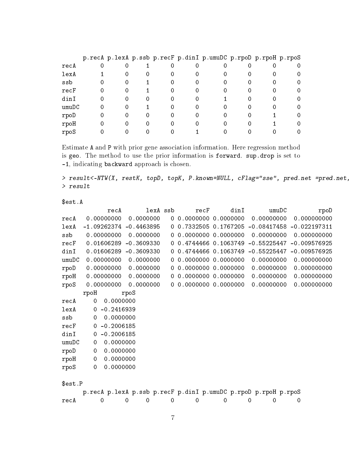|       |  |  | p.recA p.lexA p.ssb p.recF p.dinI p.umuDC p.rpoD p.rpoH p.rpoS |  |          |
|-------|--|--|----------------------------------------------------------------|--|----------|
| recA  |  |  |                                                                |  | 0        |
| lexA  |  |  |                                                                |  | 0        |
| ssb   |  |  |                                                                |  | O        |
| recF  |  |  |                                                                |  | $\Omega$ |
| dinI  |  |  |                                                                |  | $\Omega$ |
| umuDC |  |  |                                                                |  | $\Omega$ |
| rpoD  |  |  |                                                                |  | O        |
| rpoH  |  |  |                                                                |  |          |
| rpoS  |  |  |                                                                |  |          |

Estimate A and P with prior gene association information. Here regression method is geo. The method to use the prior information is forward. sup.drop is set to -1, indicating backward approach is chosen.

> result<-NTW(X, restK, topD, topK, P.known=NULL, cFlag="sse", pred.net =pred.net, > result

\$est.A

|          | recA                     | lexA ssb     |    | $_{\rm recF}$ | dinI                  | umuDC                                                          | rpoD           |
|----------|--------------------------|--------------|----|---------------|-----------------------|----------------------------------------------------------------|----------------|
| recA     | 0.00000000               | 0.0000000    |    | 0.0000000     | 0.0000000             | 0.00000000                                                     | 0.000000000    |
| lexA     | $-1.09262374$            | $-0.4463895$ |    | 0, 0.7332505  | 0.1767205             | $-0.08417458$                                                  | $-0.022197311$ |
| ssb      | 0.00000000               | 0.0000000    | 0. | 0.0000000     | 0.0000000             | 0.00000000                                                     | 0.000000000    |
| recF     | 0.01606289               | $-0.3609330$ |    |               | 0 0.4744466 0.1063749 | $-0.55225447$                                                  | $-0.009576925$ |
| dinI     | 0.01606289               | $-0.3609330$ |    | 0.4744466     | 0.1063749             | $-0.55225447$                                                  | $-0.009576925$ |
| umuDC    | 0.00000000               | 0.0000000    | 0. | 0.0000000     | 0.0000000             | 0.00000000                                                     | 0.000000000    |
| rpoD     | 0.00000000               | 0.0000000    |    | 0.0000000     | 0.0000000             | 0.00000000                                                     | 0.000000000    |
| rpoH     | 0.00000000               | 0.0000000    | 0. |               | 0.0000000 0.0000000   | 0.00000000                                                     | 0.000000000    |
| rpoS     | 0.00000000               | 0.0000000    |    |               |                       | 0.00000000                                                     | 0.000000000    |
|          | rpoH                     | rpoS         |    |               |                       |                                                                |                |
| recA     | 0.0000000<br>$\Omega$    |              |    |               |                       |                                                                |                |
| lexA     | $-0.2416939$<br>0        |              |    |               |                       |                                                                |                |
| ssb      | 0.0000000<br>$\mathbf 0$ |              |    |               |                       |                                                                |                |
| recF     | $-0.2006185$<br>0        |              |    |               |                       |                                                                |                |
| $\dim I$ | $-0.2006185$<br>0        |              |    |               |                       |                                                                |                |
| umuDC    | 0.0000000<br>$\mathbf 0$ |              |    |               |                       |                                                                |                |
| rpoD     | 0.0000000<br>0           |              |    |               |                       |                                                                |                |
| rpoH     | 0.0000000<br>$\mathbf 0$ |              |    |               |                       |                                                                |                |
| rpoS     | 0.0000000<br>0           |              |    |               |                       |                                                                |                |
|          |                          |              |    |               |                       |                                                                |                |
| \$est.P  |                          |              |    |               |                       |                                                                |                |
|          |                          |              |    |               |                       | p.recA p.lexA p.ssb p.recF p.dinI p.umuDC p.rpoD p.rpoH p.rpoS |                |
| recA     | 0                        | 0<br>0       | 0  | 0             | 0                     | 0<br>0                                                         | 0              |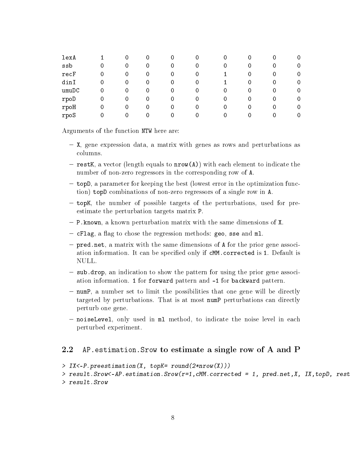| lexA       |          | 0 | U | 0 | U | O | 0 |   |
|------------|----------|---|---|---|---|---|---|---|
| ssb        |          | 0 | 0 | 0 |   |   | 0 | 0 |
| recF       | 0        | 0 | 0 | 0 | U |   |   |   |
| dinI       | $\Omega$ | 0 |   | 0 |   |   |   |   |
| umuDC      | 0        | O |   | O |   |   |   | O |
| rpoD       | 0        | 0 |   | 0 |   | 0 | 0 | O |
| $r$ po $H$ | 0        | U | 0 | 0 |   |   | 0 | O |
| rpoS       |          |   |   |   |   | 0 |   |   |

Arguments of the function NTW here are:

- $-$  X, gene expression data, a matrix with genes as rows and perturbations as columns.
- $r = \text{restK}$ , a vector (length equals to  $\text{nrow}(\text{A})$ ) with each element to indicate the number of non-zero regressors in the corresponding row of A.
- topD, a parameter for keeping the best (lowest error in the optimization function) topD combinations of non-zero regressors of a single row in A.
- $-$  topK, the number of possible targets of the perturbations, used for preestimate the perturbation targets matrix P.
- $P P$ . known, a known perturbation matrix with the same dimensions of X.
- $-$  cFlag, a flag to chose the regression methods: geo, sse and ml.
- $-$  pred.net, a matrix with the same dimensions of A for the prior gene association information. It can be specified only if cMM.corrected is 1. Default is NULL.
- sub.drop, an indication to show the pattern for using the prior gene association information. 1 for forward pattern and -1 for backward pattern.
- $-$  numP, a number set to limit the possibilities that one gene will be directly targeted by perturbations. That is at most numP perturbations can directly perturb one gene.
- noiseLevel, only used in ml method, to indicate the noise level in each perturbed experiment.

#### 2.2 AP.estimation.Srow to estimate a single row of A and P

```
> IX<-P.preestimation(X, topK= round(2*nrow(X)))
```

```
> result. Srow<-AP.estimation. Srow(r=1, cMM.corrected = 1, pred.net, X, IX, topD, rest
> result.Srow
```